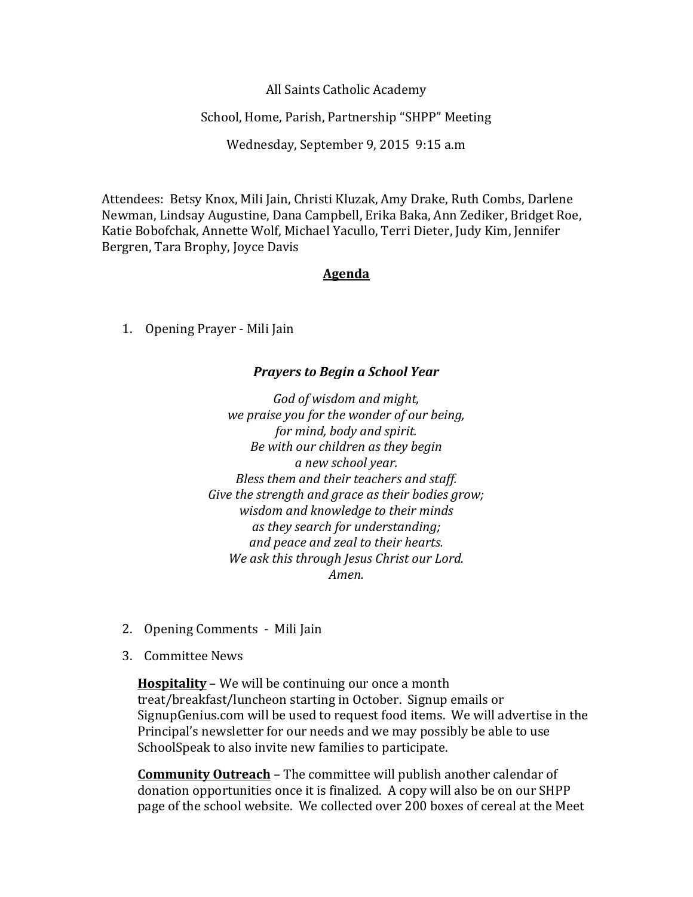All Saints Catholic Academy

School, Home, Parish, Partnership "SHPP" Meeting

Wednesday, September 9, 2015 9:15 a.m

Attendees: Betsy Knox, Mili Jain, Christi Kluzak, Amy Drake, Ruth Combs, Darlene Newman, Lindsay Augustine, Dana Campbell, Erika Baka, Ann Zediker, Bridget Roe, Katie Bobofchak, Annette Wolf, Michael Yacullo, Terri Dieter, Judy Kim, Jennifer Bergren, Tara Brophy, Joyce Davis

## **Agenda**

1. Opening Prayer - Mili Jain

## *Prayers to Begin a School Year*

*God of wisdom and might, we praise you for the wonder of our being, for mind, body and spirit. Be with our children as they begin a new school year. Bless them and their teachers and staff. Give the strength and grace as their bodies grow; wisdom and knowledge to their minds as they search for understanding; and peace and zeal to their hearts. We ask this through Jesus Christ our Lord. Amen.*

- 2. Opening Comments Mili Jain
- 3. Committee News

**Hospitality** – We will be continuing our once a month treat/breakfast/luncheon starting in October. Signup emails or SignupGenius.com will be used to request food items. We will advertise in the Principal's newsletter for our needs and we may possibly be able to use SchoolSpeak to also invite new families to participate.

**Community Outreach** – The committee will publish another calendar of donation opportunities once it is finalized. A copy will also be on our SHPP page of the school website. We collected over 200 boxes of cereal at the Meet